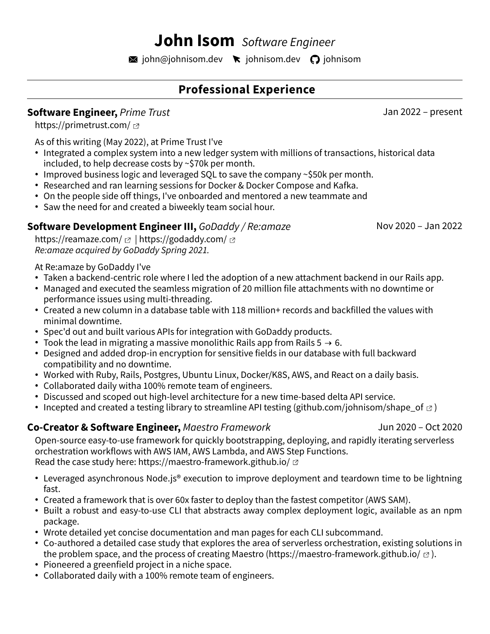# **John Isom** *Software Engineer*

 $\blacksquare$  [john@johnisom.dev](mailto:john@johnisom.dev)  $\blacktriangleright$  [johnisom.dev](https://whois.johnisom.dev/)  $\bigcirc$  [johnisom](https://github.com/johnisom)

# **Professional Experience**

### **Software Engineer,** *Prime Trust* Jan 2022 – present

<https://primetrust.com/> <

As of this writing (May 2022), at Prime Trust I've

- Integrated a complex system into a new ledger system with millions of transactions, historical data included, to help decrease costs by ~\$70k per month.
- $\cdot$  Improved business logic and leveraged SQL to save the company  $\sim$  \$50k per month.
- Researched and ran learning sessions for Docker & Docker Compose and Kafka.
- On the people side off things, I've onboarded and mentored a new teammate and
- Saw the need for and created a biweekly team social hour.

### **Software Development Engineer III,** *GoDaddy / Re:amaze* Nov 2020 – Jan 2022

[https://reamaze.com/](https://godaddy.com/)  $\alpha$  | <https://godaddy.com/>  $\alpha$ *Re:amaze acquired by GoDaddy Spring 2021.*

#### At Re:amaze by GoDaddy I've

- Taken a backend-centric role where I led the adoption of a new attachment backend in our Rails app.
- Managed and executed the seamless migration of 20 million file attachments with no downtime or performance issues using multi-threading.
- Created a new column in a database table with 118 million+ records and backfilled the values with minimal downtime.
- Spec'd out and built various APIs for integration with GoDaddy products.
- Took the lead in migrating a massive monolithic Rails app from Rails  $5 \rightarrow 6$ .
- Designed and added drop-in encryption for sensitive fields in our database with full backward compatibility and no downtime.
- Worked with Ruby, Rails, Postgres, Ubuntu Linux, Docker/K8S, AWS, and React on a daily basis.
- Collaborated daily witha 100% remote team of engineers.
- Discussed and scoped out high-level architecture for a new time-based delta API service.
- Incepted and created a testing library to streamline API testing [\(github.com/johnisom/shape\\_of](https://github.com/johnisom/shape_of)  $\sigma$ )

#### **Co-Creator & Software Engineer,** *Maestro Framework* Jun 2020 – Oct 2020

Open-source easy-to-use framework for quickly bootstrapping, deploying, and rapidly iterating serverless orchestration workflows with AWS IAM, AWS Lambda, and AWS Step Functions. Read the case study here: <https://maestro-framework.github.io/>  $\varnothing$ 

- Leveraged asynchronous Node.js® execution to improve deployment and teardown time to be lightning fast.
- Created a framework that is over 60x faster to deploy than the fastest competitor (AWS SAM).
- Built a robust and easy-to-use CLI that abstracts away complex deployment logic, available as an npm package.
- Wrote detailed yet concise documentation and man pages for each CLI subcommand.
- Co-authored a detailed case study that explores the area of serverless orchestration, existing solutions in the problem space, and the process of creating Maestro ([https://maestro-framework.github.io/](http://maestro-framework.github.io/) $\sigma$ ).
- Pioneered a greenfield project in a niche space.
- Collaborated daily with a 100% remote team of engineers.